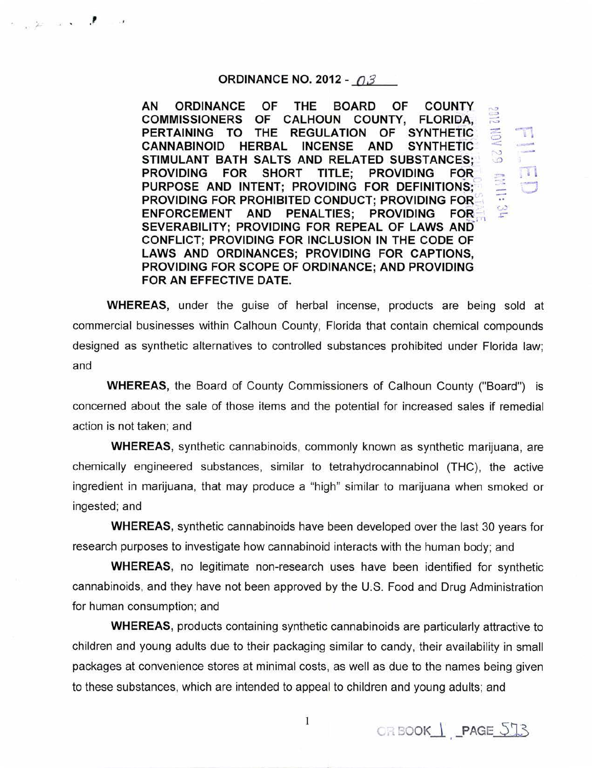#### ORDINANCE NO. 2012 -  $\theta$ 3

.  $\mathcal{L}$  .  $\mathcal{L}$ 

AN ORDINANCE OF THE BOARD OF COUNTY COMMISSIONERS OF CALHOUN COUNTY, FLORIDA, PERTAINING TO THE REGULATION OF SYNTHETIC CANNABINOID HERBAL INCENSE AND SYNTHETIC STIMULANT BATH SALTS AND RELATED SUBSTANCES; PROVIDING FOR SHORT TITLE; PROVIDING FOR PURPOSE AND INTENT; PROVIDING FOR DEFINITIONS; PROVIDING FOR PROHIBITED CONDUCT; PROVIDING FOR ENFORCEMENT AND PENALTIES: PROVIDING FOR SEVERABILITY; PROVIDING FOR REPEAL OF LAWS AND CONFLICT; PROVIDING FOR INCLUSION IN THE CODE OF LAWS AND ORDINANCES; PROVIDING FOR CAPTIONS, PROVIDING FOR SCOPE OF ORDINANCE; AND PROVIDING FOR AN EFFECTIVE DATE.

WHEREAS, under the guise of herbal incense, products are being sold at commercial businesses within Calhoun County, Florida that contain chemical compounds designed as synthetic alternatives to controlled substances prohibited under Florida law; and

WHEREAS, the Board of County Commissioners of Calhoun County ("Board") is concerned about the sale of those items and the potential for increased sales if remedial action is not taken; and

WHEREAS, synthetic cannabinoids, commonly known as synthetic marijuana, are chemically engineered substances, similar to tetrahydrocannabinol (THC), the active ingredient in marijuana, that may produce a "high" similar to marijuana when smoked or ingested; and

WHEREAS, synthetic cannabinoids have been developed over the last 30 years for research purposes to investigate how cannabinoid interacts with the human body; and

WHEREAS, no legitimate non-research uses have been identified for synthetic cannabinoids, and they have not been approved by the U.S. Food and Drug Administration for human consumption; and

WHEREAS, products containing synthetic cannabinoids are particularly attractive to children and young adults due to their packaging similar to candy, their availability in small packages at convenience stores at minimal costs, as well as due to the names being given to these substances, which are intended to appeal to children and young adults; and

 $\mathbb{Z}$ 

 $\approx$  $.15 - 1.0$  $\frac{3}{2}$  ...- .~  $\mathbb{I}$  $\frac{1}{\cdot}$ 

> $\Box$ **C.**

 $\Xi$  . -..  $\mathbb{E}$ 

 $\overline{1}$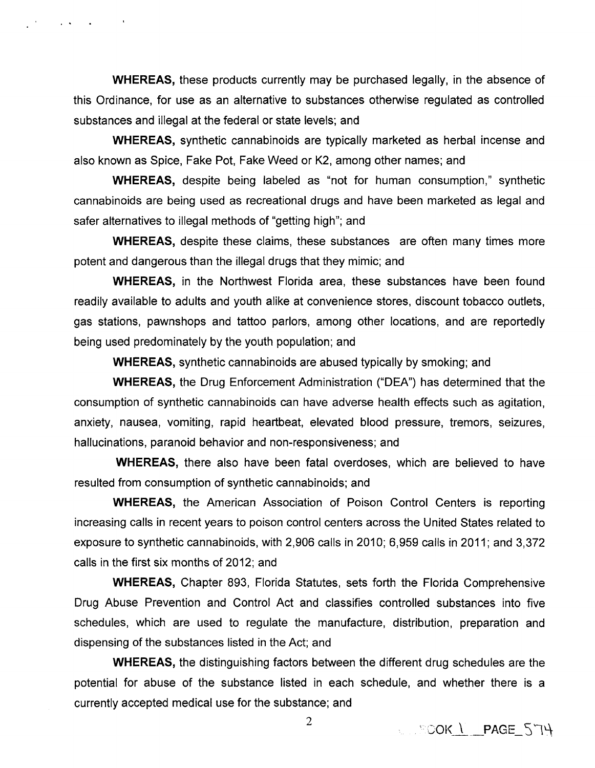**WHEREAS,** these products currently may be purchased legally, in the absence of this Ordinance, for use as an alternative to substances otherwise regulated as controlled substances and illegal at the federal or state levels; and

**Contract Contract** 

**WHEREAS,** synthetic cannabinoids are typically marketed as herbal incense and also known as Spice, Fake Pot, Fake Weed or K2, among other names; and

**WHEREAS,** despite being labeled as "not for human consumption," synthetic cannabinoids are being used as recreational drugs and have been marketed as legal and safer alternatives to illegal methods of "getting high"; and

**WHEREAS,** despite these claims, these substances are often many times more potent and dangerous than the illegal drugs that they mimic; and

**WHEREAS,** in the Northwest Florida area, these substances have been found readily available to adults and youth alike at convenience stores, discount tobacco outlets, gas stations, pawnshops and tattoo parlors, among other locations, and are reportedly being used predominately by the youth population; and

**WHEREAS,** synthetic cannabinoids are abused typically by smoking; and

**WHEREAS,** the Drug Enforcement Administration ("DEA") has determined that the consumption of synthetic cannabinoids can have adverse health effects such as agitation, anxiety, nausea, vomiting, rapid heartbeat, elevated blood pressure, tremors, seizures, hallucinations, paranoid behavior and non-responsiveness; and

**WHEREAS,** there also have been fatal overdoses, which are believed to have resulted from consumption of synthetic cannabinoids; and

**WHEREAS,** the American Association of Poison Control Centers is reporting increasing calls in recent years to poison control centers across the United States related to exposure to synthetic cannabinoids, with 2,906 calls in 2010; 6,959 calls in 2011; and 3,372 calls in the first six months of 2012; and

**WHEREAS,** Chapter 893, Florida Statutes, sets forth the Florida Comprehensive Drug Abuse Prevention and Control Act and classifies controlled substances into five schedules, which are used to regulate the manufacture, distribution, preparation and dispensing of the substances listed in the Act; and

**WHEREAS,** the distinguishing factors between the different drug schedules are the potential for abuse of the substance listed in each schedule, and whether there is a currently accepted medical use for the substance; and

 $\sqrt{3}$   $\sqrt{3}$  OK  $\sqrt{2}$  PAGE\_  $5$  TH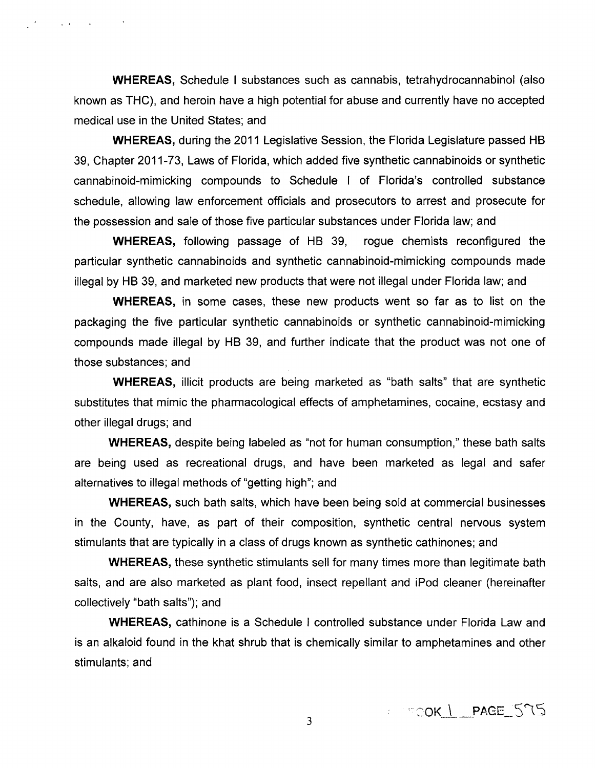**WHEREAS,** Schedule I substances such as cannabis, tetrahydrocannabinol (also known as THC), and heroin have a high potential for abuse and currently have no accepted medical use in the United States; and

and the company of

**WHEREAS,** during the 2011 Legislative Session, the Florida Legislature passed HB 39, Chapter 2011-73, Laws of Florida, which added five synthetic cannabinoids or synthetic cannabinoid-mimicking compounds to Schedule I of Florida's controlled substance schedule, allowing law enforcement officials and prosecutors to arrest and prosecute for the possession and sale of those five particular substances under Florida law; and

**WHEREAS,** following passage of HB 39, rogue chemists reconfigured the particular synthetic cannabinoids and synthetic cannabinoid-mimicking compounds made illegal by HB 39, and marketed new products that were not illegal under Florida law; and

**WHEREAS,** in some cases, these new products went so far as to list on the packaging the five particular synthetic cannabinoids or synthetic cannabinoid-mimicking compounds made illegal by HB 39, and further indicate that the product was not one of those substances; and

**WHEREAS,** illicit products are being marketed as "bath salts" that are synthetic substitutes that mimic the pharmacological effects of amphetamines, cocaine, ecstasy and other illegal drugs; and

**WHEREAS,** despite being labeled as "not for human consumption," these bath salts are being used as recreational drugs, and have been marketed as legal and safer alternatives to illegal methods of "getting high"; and

**WHEREAS,** such bath salts, which have been being sold at commercial businesses in the County, have, as part of their composition, synthetic central nervous system stimulants that are typically in a class of drugs known as synthetic cathinones; and

**WHEREAS,** these synthetic stimulants sell for many times more than legitimate bath salts, and are also marketed as plant food, insect repellant and iPod cleaner (hereinafter collectively "bath salts"); and

**WHEREAS,** cathinone is a Schedule I controlled substance under Florida Law and is an alkaloid found in the khat shrub that is chemically similar to amphetamines and other stimulants; and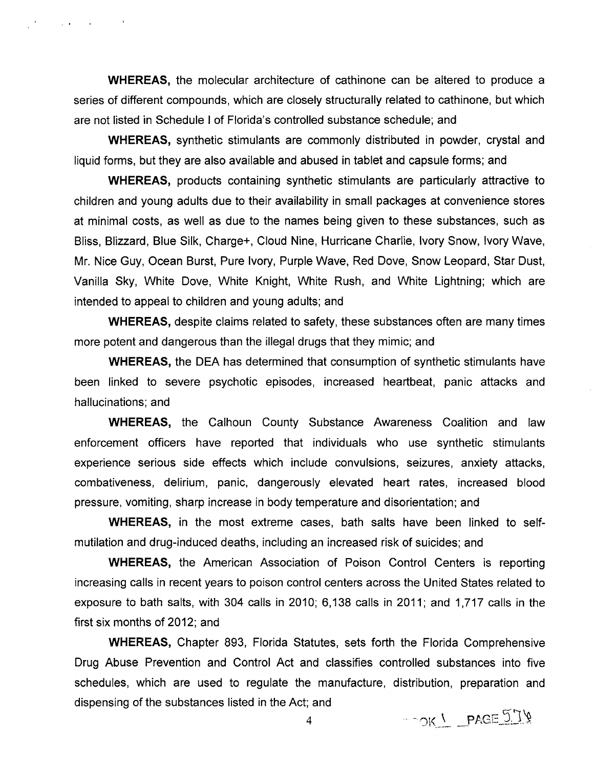**WHEREAS,** the molecular architecture of cathinone can be altered to produce a series of different compounds, which are closely structurally related to cathinone, but which are not listed in Schedule I of Florida's controlled substance schedule; and

March 2004, Carl Adams

**WHEREAS,** synthetic stimulants are commonly distributed in powder, crystal and liquid forms, but they are also available and abused in tablet and capsule forms; and

**WHEREAS,** products containing synthetic stimulants are particularly attractive to children and young adults due to their availability in small packages at convenience stores at minimal costs, as well as due to the names being given to these substances, such as Bliss, Blizzard, Blue Silk, Charge+, Cloud Nine, Hurricane Charlie, Ivory Snow, Ivory Wave, Mr. Nice Guy, Ocean Burst, Pure Ivory, Purple Wave, Red Dove, Snow Leopard, Star Dust, Vanilla Sky, White Dove, White Knight, White Rush, and White Lightning; which are intended to appeal to children and young adults; and

**WHEREAS,** despite claims related to safety, these substances often are many times more potent and dangerous than the illegal drugs that they mimic; and

**WHEREAS,** the DEA has determined that consumption of synthetic stimulants have been linked to severe psychotic episodes, increased heartbeat, panic attacks and hallucinations; and

**WHEREAS,** the Calhoun County Substance Awareness Coalition and law enforcement officers have reported that individuals who use synthetic stimulants experience serious side effects which include convulsions, seizures, anxiety attacks, combativeness, delirium, panic, dangerously elevated heart rates, increased blood pressure, vomiting, sharp increase in body temperature and disorientation; and

**WHEREAS,** in the most extreme cases, bath salts have been linked to selfmutilation and drug-induced deaths, including an increased risk of suicides; and

**WHEREAS,** the American Association of Poison Control Centers is reporting increasing calls in recent years to poison control centers across the United States related to exposure to bath salts, with 304 calls in 2010;  $6,138$  calls in 2011; and 1,717 calls in the first six months of 2012; and

**WHEREAS,** Chapter 893, Florida Statutes, sets forth the Florida Comprehensive Drug Abuse Prevention and Control Act and classifies controlled substances into five schedules, which are used to regulate the manufacture, distribution, preparation and dispensing of the substances listed in the Act; and

DOK ! PAGE 574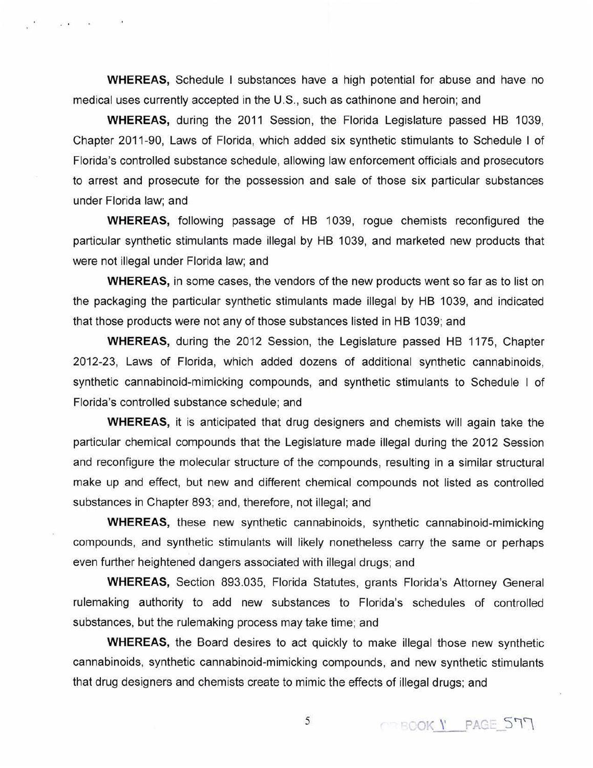**WHEREAS,** Schedule I substances have a high potential for abuse and have no medical uses currently accepted in the U.S., such as cathinone and heroin; and

 $\mathbf{E}^{\prime}$  .

**WHEREAS,** during the 2011 Session, the Florida Legislature passed HB 1039, Chapter 2011-90, Laws of Florida, which added six synthetic stimulants to Schedule I of Florida's controlled substance schedule, allowing law enforcement officials and prosecutors to arrest and prosecute for the possession and sale of those six particular substances under Florida law; and

**WHEREAS,** following passage of HB 1039, rogue chemists reconfigured the particular synthetic stimulants made illegal by HB 1039, and marketed new products that were not illegal under Florida law; and

**WHEREAS,** in some cases, the vendors of the new products went so far as to list on the packaging the particular synthetic stimulants made illegal by HB 1039, and indicated that those products were not any of those substances listed in HB 1 039; and

**WHEREAS,** during the 2012 Session, the Legislature passed HB 1175, Chapter 2012-23, Laws of Florida, which added dozens of additional synthetic cannabinoids, synthetic cannabinoid-mimicking compounds, and synthetic stimulants to Schedule I of Florida's controlled substance schedule; and

**WHEREAS,** it is anticipated that drug designers and chemists will again take the particular chemical compounds that the Legislature made illegal during the 2012 Session and reconfigure the molecular structure of the compounds, resulting in a similar structural make up and effect, but new and different chemical compounds not listed as controlled substances in Chapter 893; and, therefore, not illegal; and

**WHEREAS,** these new synthetic cannabinoids, synthetic cannabinoid-mimicking compounds, and synthetic stimulants will likely nonetheless carry the same or perhaps even further heightened dangers associated with illegal drugs; and

**WHEREAS,** Section 893.035, Florida Statutes, grants Florida's Attorney General rulemaking authority to add new substances to Florida's schedules of controlled substances, but the rulemaking process may take time; and

**WHEREAS,** the Board desires to act quickly to make illegal those new synthetic cannabinoids, synthetic cannabinoid-mimicking compounds, and new synthetic stimulants that drug designers and chemists create to mimic the effects of illegal drugs; and

5 OBOOK Y PAGE 577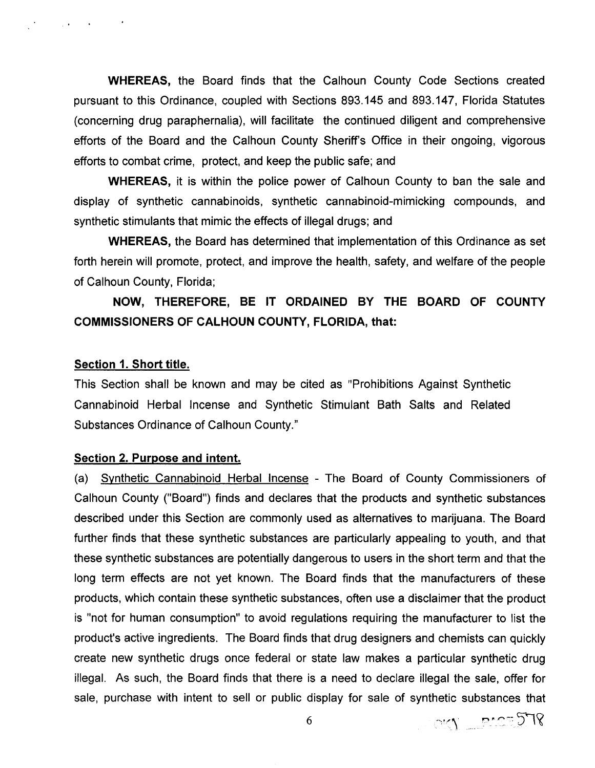**WHEREAS,** the Board finds that the Calhoun County Code Sections created pursuant to this Ordinance, coupled with Sections 893.145 and 893.147, Florida Statutes (concerning drug paraphernalia), will facilitate the continued diligent and comprehensive efforts of the Board and the Calhoun County Sheriff's Office in their ongoing, vigorous efforts to combat crime, protect, and keep the public safe; and

**WHEREAS,** it is within the police power of Calhoun County to ban the sale and display of synthetic cannabinoids, synthetic cannabinoid-mimicking compounds, and synthetic stimulants that mimic the effects of illegal drugs; and

**WHEREAS,** the Board has determined that implementation of this Ordinance as set forth herein will promote, protect, and improve the health, safety, and welfare of the people of Calhoun County, Florida;

# **NOW, THEREFORE, BE IT ORDAINED BY THE BOARD OF COUNTY COMMISSIONERS OF CALHOUN COUNTY, FLORIDA, that:**

#### **Section 1. Short title.**

 $\mathcal{L}_{\mathcal{A}}$  , where  $\mathcal{L}_{\mathcal{A}}$  is the  $\mathcal{L}_{\mathcal{A}}$ 

This Section shall be known and may be cited as "Prohibitions Against Synthetic Cannabinoid Herbal Incense and Synthetic Stimulant Bath Salts and Related Substances Ordinance of Calhoun County."

### **Section 2. Purpose and intent.**

(a) Synthetic Cannabinoid Herbal Incense - The Board of County Commissioners of Calhoun County ("Board") finds and declares that the products and synthetic substances described under this Section are commonly used as alternatives to marijuana. The Board further finds that these synthetic substances are particularly appealing to youth, and that these synthetic substances are potentially dangerous to users in the short term and that the long term effects are not yet known. The Board finds that the manufacturers of these products, which contain these synthetic substances, often use a disclaimer that the product is "not for human consumption" to avoid regulations requiring the manufacturer to list the product's active ingredients. The Board finds that drug designers and chemists can quickly create new synthetic drugs once federal or state law makes a particular synthetic drug illegal. As such, the Board finds that there is a need to declare illegal the sale, offer for sale, purchase with intent to sell or public display for sale of synthetic substances that

6

OKY PACE 578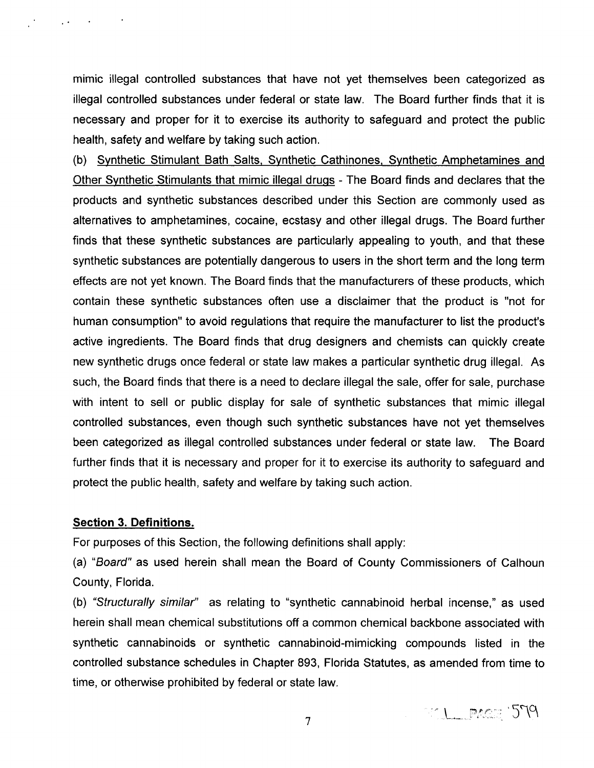mimic illegal controlled substances that have not yet themselves been categorized as illegal controlled substances under federal or state law. The Board further finds that it is necessary and proper for it to exercise its authority to safeguard and protect the public health, safety and welfare by taking such action.

(b) Synthetic Stimulant Bath Salts. Synthetic Cathinones. Synthetic Amphetamines and Other Synthetic Stimulants that mimic illegal drugs- The Board finds and declares that the products and synthetic substances described under this Section are commonly used as alternatives to amphetamines, cocaine, ecstasy and other illegal drugs. The Board further finds that these synthetic substances are particularly appealing to youth, and that these synthetic substances are potentially dangerous to users in the short term and the long term effects are not yet known. The Board finds that the manufacturers of these products, which contain these synthetic substances often use a disclaimer that the product is "not for human consumption" to avoid regulations that require the manufacturer to list the product's active ingredients. The Board finds that drug designers and chemists can quickly create new synthetic drugs once federal or state law makes a particular synthetic drug illegal. As such, the Board finds that there is a need to declare illegal the sale, offer for sale, purchase with intent to sell or public display for sale of synthetic substances that mimic illegal controlled substances, even though such synthetic substances have not yet themselves been categorized as illegal controlled substances under federal or state law. The Board further finds that it is necessary and proper for it to exercise its authority to safeguard and protect the public health, safety and welfare by taking such action.

# **Section 3. Definitions.**

 $\sim 100$ 

For purposes of this Section, the following definitions shall apply:

(a) "Board" as used herein shall mean the Board of County Commissioners of Calhoun County, Florida.

(b) "Structurally similar" as relating to "synthetic cannabinoid herbal incense," as used herein shall mean chemical substitutions off a common chemical backbone associated with synthetic cannabinoids or synthetic cannabinoid-mimicking compounds listed in the controlled substance schedules in Chapter 893, Florida Statutes, as amended from time to time, or otherwise prohibited by federal or state law.

MI PACE 579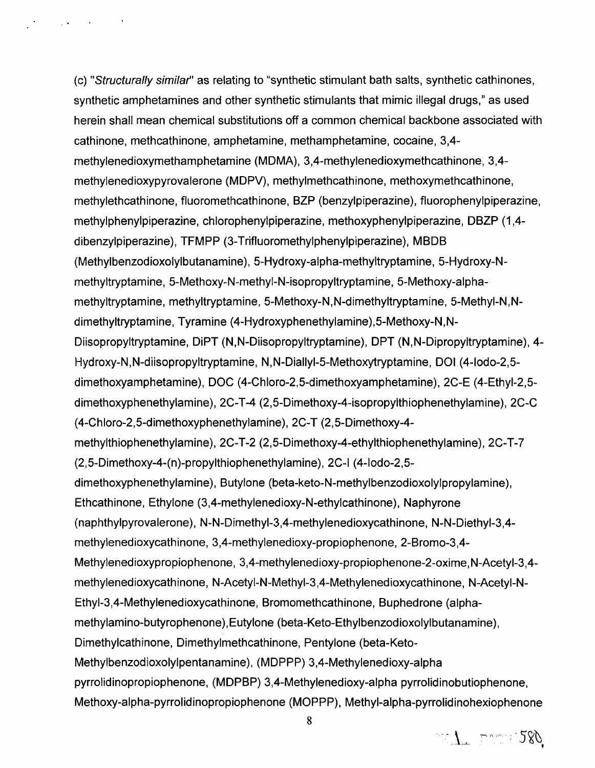(c) "Structurally similar' as relating to "synthetic stimulant bath salts, synthetic cathinones, synthetic amphetamines and other synthetic stimulants that mimic illegal drugs," as used herein shall mean chemical substitutions off a common chemical backbone associated with cathinone, methcathinone, amphetamine, methamphetamine, cocaine, 3,4 methylenedioxymethamphetamine (MDMA), 3,4-methylenedioxymethcathinone, 3,4 methylened ioxypyrovalerone (MDPV), methylmethcathinone, methoxymethcathinone, methylethcathinone, fluoromethcathinone, BZP (benzylpiperazine), fluorophenylpiperazine, methylphenylpiperazine, chlorophenylpiperazine, methoxyphenylpiperazine, DBZP (1 ,4 dibenzylpiperazine), TFMPP (3-Trifluoromethylphenylpiperazine), MBDB (Methylbenzodioxolylbutanamine), 5-Hydroxy-alpha-methyltryptamine, 5-Hydroxy-Nmethyltryptamine, 5-Methoxy-N-methyi-N-isopropyltryptamine, 5-Methoxy-alphamethyltryptamine, methyltryptamine, 5-Methoxy-N, N-dimethyltryptamine, 5-Methyi-N, Ndimethyltryptamine, Tyramine (4-Hydroxyphenethylamine),5-Methoxy-N,N-Diisopropyltryptamine, DiPT (N,N-Diisopropyltryptamine), OPT (N,N-Dipropyltryptamine), 4- Hydroxy-N,N-diisopropyltryptamine, N,N-Diallyi-5-Methoxytryptamine, DOl (4-lodo-2,5 dimethoxyamphetamine), DOC (4-Chloro-2,5-dimethoxyamphetamine), 2C-E (4-Ethyl-2,5 dimethoxyphenethylamine), 2C-T-4 (2,5-Dimethoxy-4-isopropylthiophenethylamine), 2C-C (4-Chloro-2,5-dimethoxyphenethylamine), 2C-T (2,5-Dimethoxy-4 methylthiophenethylamine), 2C-T-2 (2,5-Dimethoxy-4-ethylthiophenethylamine), 2C-T-7 (2,5-Dimethoxy-4-(n)-propylthiophenethylamine), 2C-I (4-lodo-2,5 dimethoxyphenethylamine), Butylone (beta-keto-N-methylbenzodioxolylpropylamine), Ethcathinone, Ethylone (3,4-methylenedioxy-N-ethylcathinone), Naphyrone (naphthylpyrovalerone), N-N-Dimethyl-3,4-methylenedioxycathinone, N-N-Diethyl-3,4 methylenedioxycathinone, 3,4-methylenedioxy-propiophenone, 2-Bromo-3,4- Methylenedioxypropiophenone, 3,4-methylenedioxy-propiophenone-2-oxime,N-Acetyl-3,4 methylenedioxycathinone, N-Acetyl-N-Methyl-3,4-Methylenedioxycathinone, N-Acetyl-N-Ethyi-3,4-Methylenedioxycathinone, Bromomethcathinone, Buphedrone (alphamethylamino-butyrophenone), Eutylone (beta-Keto-Ethylbenzodioxolylbutanamine), Dimethylcathinone, Dimethylmethcathinone, Pentylone (beta-Keto-Methylbenzodioxolylpentanamine), (MDPPP) 3,4-Methylenedioxy-alpha pyrrolidinopropiophenone, (MDPBP) 3,4-Methylenedioxy-alpha pyrrolidinobutiophenone, Methoxy-alpha-pyrrolidinopropiophenone (MOPPP), Methyl-alpha-pyrrolidinohexiophenone

. The contribution of the  $\mathcal{O}(n)$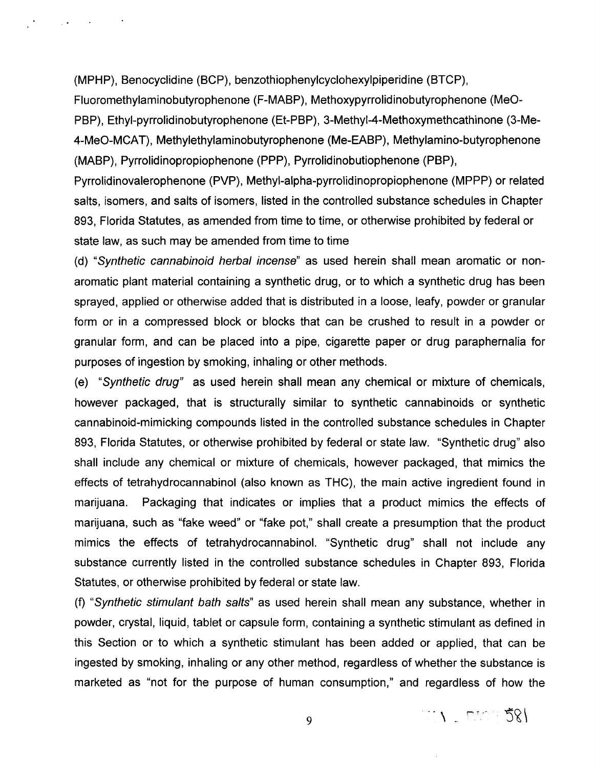(MPHP), Benocyclidine (BCP), benzothiophenylcyclohexylpiperidine (BTCP),

..

Fluoromethylaminobutyrophenone (F-MABP), Methoxypyrrolidinobutyrophenone (MeO-PBP), Ethyl-pyrrolidinobutyrophenone (Et-PBP), 3-Methyi-4-Methoxymethcathinone (3-Me-4-MeO-MCAT), Methylethylaminobutyrophenone (Me-EABP), Methylamino-butyrophenone (MABP), Pyrrolidinopropiophenone (PPP), Pyrrolidinobutiophenone (PBP),

Pyrrolidinovalerophenone (PVP), Methyl-alpha-pyrrolidinopropiophenone (MPPP) or related salts, isomers, and salts of isomers, listed in the controlled substance schedules in Chapter 893, Florida Statutes, as amended from time to time, or otherwise prohibited by federal or state law, as such may be amended from time to time

(d) "Synthetic cannabinoid herbal incense" as used herein shall mean aromatic or nonaromatic plant material containing a synthetic drug, or to which a synthetic drug has been sprayed, applied or otherwise added that is distributed in a loose, leafy, powder or granular form or in a compressed block or blocks that can be crushed to result in a powder or granular form, and can be placed into a pipe, cigarette paper or drug paraphernalia for purposes of ingestion by smoking, inhaling or other methods.

(e) "Synthetic drug" as used herein shall mean any chemical or mixture of chemicals, however packaged, that is structurally similar to synthetic cannabinoids or synthetic cannabinoid-mimicking compounds listed in the controlled substance schedules in Chapter 893, Florida Statutes, or otherwise prohibited by federal or state law. "Synthetic drug" also shall include any chemical or mixture of chemicals, however packaged, that mimics the effects of tetrahydrocannabinol (also known as THC), the main active ingredient found in marijuana. Packaging that indicates or implies that a product mimics the effects of marijuana, such as "fake weed" or "fake pot," shall create a presumption that the product mimics the effects of tetrahydrocannabinol. "Synthetic drug" shall not include any substance currently listed in the controlled substance schedules in Chapter 893, Florida Statutes, or otherwise prohibited by federal or state law.

(f) "Synthetic stimulant bath salts" as used herein shall mean any substance, whether in powder, crystal, liquid, tablet or capsule form, containing a synthetic stimulant as defined in this Section or to which a synthetic stimulant has been added or applied, that can be ingested by smoking, inhaling or any other method, regardless of whether the substance is marketed as "not for the purpose of human consumption," and regardless of how the

9

TI DOOD 581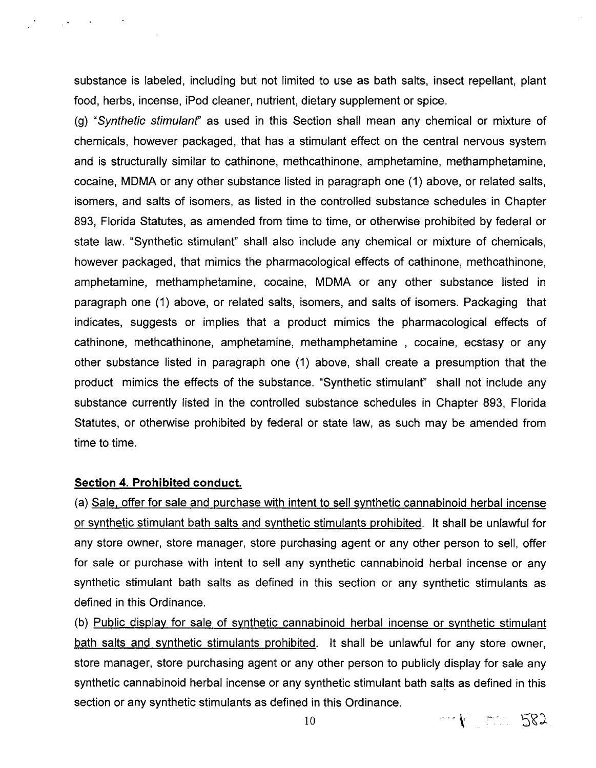substance is labeled, including but not limited to use as bath salts, insect repellant, plant food, herbs, incense, iPod cleaner, nutrient, dietary supplement or spice.

(g) "Synthetic stimulanf' as used in this Section shall mean any chemical or mixture of chemicals, however packaged, that has a stimulant effect on the central nervous system and is structurally similar to cathinone, methcathinone, amphetamine, methamphetamine, cocaine, MDMA or any other substance listed in paragraph one (1) above, or related salts, isomers, and salts of isomers, as listed in the controlled substance schedules in Chapter 893, Florida Statutes, as amended from time to time, or otherwise prohibited by federal or state law. "Synthetic stimulant" shall also include any chemical or mixture of chemicals, however packaged, that mimics the pharmacological effects of cathinone, methcathinone, amphetamine, methamphetamine, cocaine, MDMA or any other substance listed in paragraph one (1) above, or related salts, isomers, and salts of isomers. Packaging that indicates, suggests or implies that a product mimics the pharmacological effects of cathinone, methcathinone, amphetamine, methamphetamine , cocaine, ecstasy or any other substance listed in paragraph one (1) above, shall create a presumption that the product mimics the effects of the substance. "Synthetic stimulant" shall not include any substance currently listed in the controlled substance schedules in Chapter 893, Florida Statutes, or otherwise prohibited by federal or state law, as such may be amended from time to time.

### **Section 4. Prohibited conduct.**

'.

(a) Sale. offer for sale and purchase with intent to sell synthetic cannabinoid herbal incense or synthetic stimulant bath salts and synthetic stimulants prohibited. It shall be unlawful for any store owner, store manager, store purchasing agent or any other person to sell, offer for sale or purchase with intent to sell any synthetic cannabinoid herbal incense or any synthetic stimulant bath salts as defined in this section or any synthetic stimulants as defined in this Ordinance.

(b) Public display for sale of synthetic cannabinoid herbal incense or synthetic stimulant bath salts and synthetic stimulants prohibited. It shall be unlawful for any store owner, store manager, store purchasing agent or any other person to publicly display for sale any synthetic cannabinoid herbal incense or any synthetic stimulant bath salts as defined in this section or any synthetic stimulants as defined in this Ordinance.

 $-1$   $-582$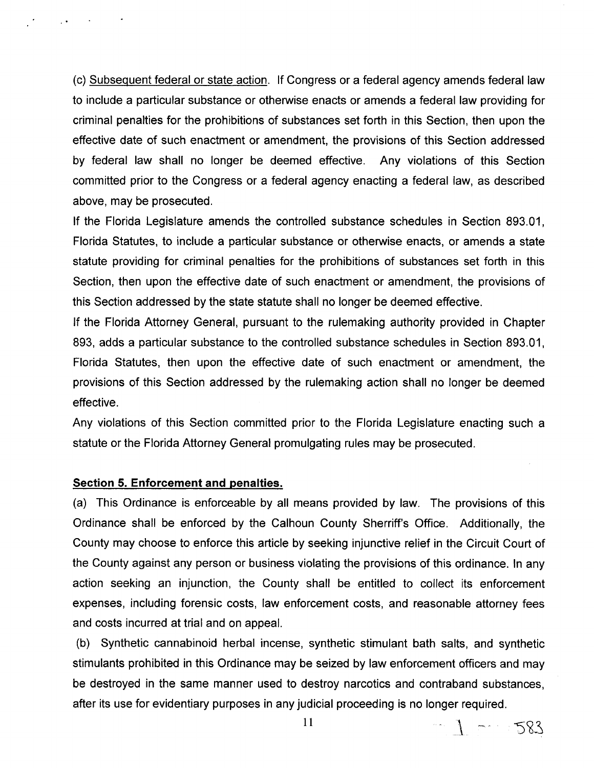(c) Subsequent federal or state action. If Congress or a federal agency amends federal law to include a particular substance or otherwise enacts or amends a federal law providing for criminal penalties for the prohibitions of substances set forth in this Section, then upon the effective date of such enactment or amendment, the provisions of this Section addressed by federal law shall no longer be deemed effective. Any violations of this Section committed prior to the Congress or a federal agency enacting a federal law, as described above, may be prosecuted.

If the Florida Legislature amends the controlled substance schedules in Section 893.01, Florida Statutes, to include a particular substance or otherwise enacts, or amends a state statute providing for criminal penalties for the prohibitions of substances set forth in this Section, then upon the effective date of such enactment or amendment, the provisions of this Section addressed by the state statute shall no longer be deemed effective.

If the Florida Attorney General, pursuant to the rulemaking authority provided in Chapter 893, adds a particular substance to the controlled substance schedules in Section 893.01, Florida Statutes, then upon the effective date of such enactment or amendment, the provisions of this Section addressed by the rulemaking action shall no longer be deemed effective.

Any violations of this Section committed prior to the Florida Legislature enacting such a statute or the Florida Attorney General promulgating rules may be prosecuted.

### **Section 5. Enforcement and penalties.**

 $\sim$   $\sim$ 

(a) This Ordinance is enforceable by all means provided by law. The provisions of this Ordinance shall be enforced by the Calhoun County Sherriff's Office. Additionally, the County may choose to enforce this article by seeking injunctive relief in the Circuit Court of the County against any person or business violating the provisions of this ordinance. In any action seeking an injunction, the County shall be entitled to collect its enforcement expenses, including forensic costs, law enforcement costs, and reasonable attorney fees and costs incurred at trial and on appeal.

(b) Synthetic cannabinoid herbal incense, synthetic stimulant bath salts, and synthetic stimulants prohibited in this Ordinance may be seized by law enforcement officers and may be destroyed in the same manner used to destroy narcotics and contraband substances, after its use for evidentiary purposes in any judicial proceeding is no longer required.

11

 $-1 - 583$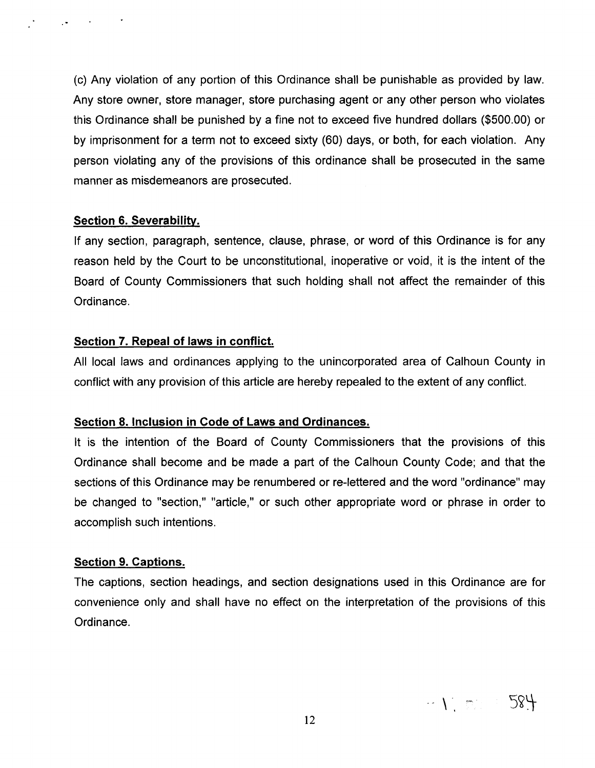(c) Any violation of any portion of this Ordinance shall be punishable as provided by law. Any store owner, store manager, store purchasing agent or any other person who violates this Ordinance shall be punished by a fine not to exceed five hundred dollars (\$500.00) or by imprisonment for a term not to exceed sixty (60) days, or both, for each violation. Any person violating any of the provisions of this ordinance shall be prosecuted in the same manner as misdemeanors are prosecuted.

## **Section 6. Severability.**

 $\ddot{\phantom{1}}$ 

If any section, paragraph, sentence, clause, phrase, or word of this Ordinance is for any reason held by the Court to be unconstitutional, inoperative or void, it is the intent of the Board of County Commissioners that such holding shall not affect the remainder of this Ordinance.

# **Section 7. Repeal of laws in conflict.**

All local laws and ordinances applying to the unincorporated area of Calhoun County in conflict with any provision of this article are hereby repealed to the extent of any conflict.

#### **Section 8. Inclusion in Code of Laws and Ordinances.**

It is the intention of the Board of County Commissioners that the provisions of this Ordinance shall become and be made a part of the Calhoun County Code; and that the sections of this Ordinance may be renumbered or re-lettered and the word "ordinance" may be changed to "section," "article," or such other appropriate word or phrase in order to accomplish such intentions.

# **Section 9. Captions.**

The captions, section headings, and section designations used in this Ordinance are for convenience only and shall have no effect on the interpretation of the provisions of this Ordinance.

 $\leftarrow \sum_{i=1}^n \left\|\sum_{i=1}^n \hat{f}_i\right\|_2^2 \leq \frac{1}{n} \left\| \sum_{i=1}^n \hat{f}_i\right\|_2^2$ 584